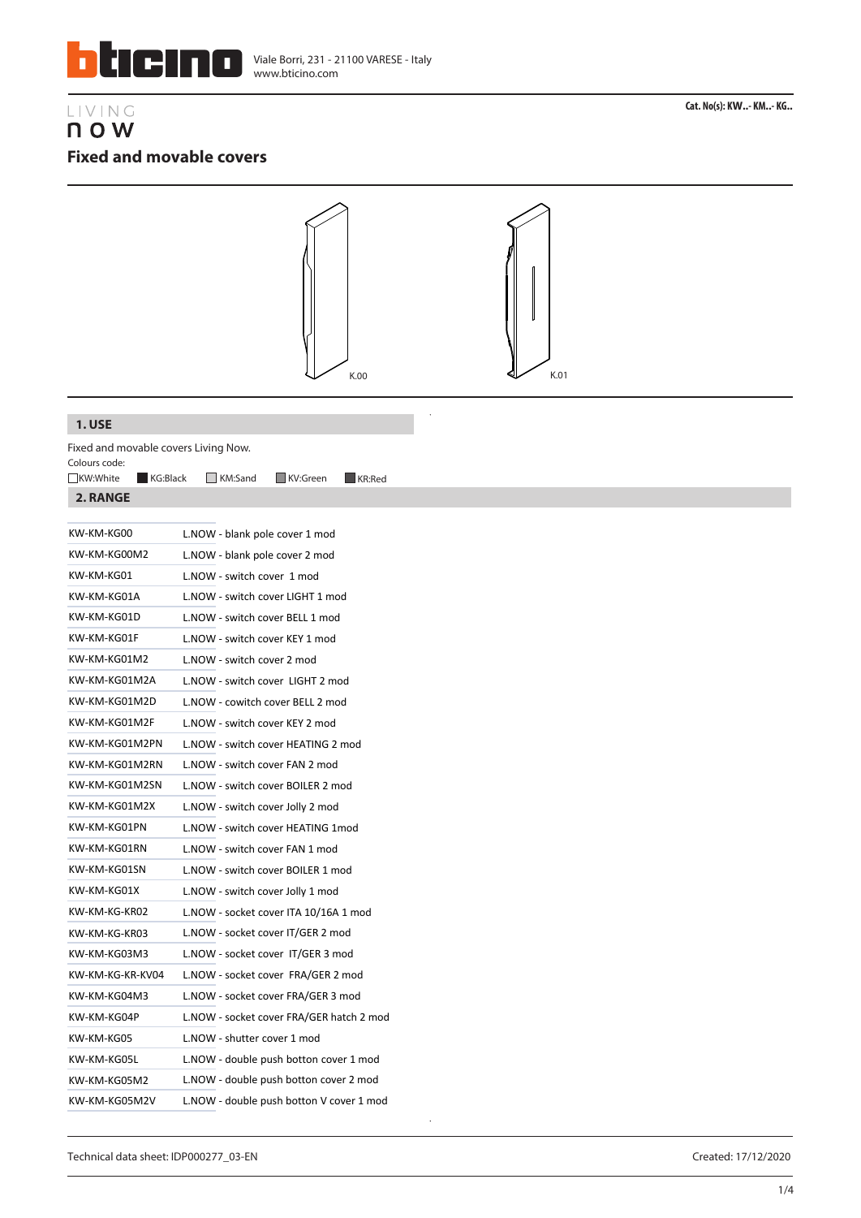

# LIVING n o w **Fixed and movable covers**



 $\ddot{\phantom{0}}$ 

### **1. USE**

Fixed and movable covers Living Now. Colours code:

| KW-KM-KG00       | L.NOW - blank pole cover 1 mod           |
|------------------|------------------------------------------|
| KW-KM-KG00M2     | L.NOW - blank pole cover 2 mod           |
| KW-KM-KG01       | L.NOW - switch cover 1 mod               |
| KW-KM-KG01A      | L.NOW - switch cover LIGHT 1 mod         |
| KW-KM-KG01D      | L.NOW - switch cover BELL 1 mod          |
| KW-KM-KG01F      | L.NOW - switch cover KEY 1 mod           |
| KW-KM-KG01M2     | L.NOW - switch cover 2 mod               |
| KW-KM-KG01M2A    | L.NOW - switch cover LIGHT 2 mod         |
| KW-KM-KG01M2D    | L.NOW - cowitch cover BELL 2 mod         |
| KW-KM-KG01M2F    | L.NOW - switch cover KEY 2 mod           |
| KW-KM-KG01M2PN   | L.NOW - switch cover HEATING 2 mod       |
| KW-KM-KG01M2RN   | L.NOW - switch cover FAN 2 mod           |
| KW-KM-KG01M2SN   | L.NOW - switch cover BOILER 2 mod        |
| KW-KM-KG01M2X    | L.NOW - switch cover Jolly 2 mod         |
| KW-KM-KG01PN     | L.NOW - switch cover HEATING 1mod        |
| KW-KM-KG01RN     | L.NOW - switch cover FAN 1 mod           |
| KW-KM-KG01SN     | L.NOW - switch cover BOILER 1 mod        |
| KW-KM-KG01X      | L.NOW - switch cover Jolly 1 mod         |
| KW-KM-KG-KR02    | L.NOW - socket cover ITA 10/16A 1 mod    |
| KW-KM-KG-KR03    | L.NOW - socket cover IT/GER 2 mod        |
| KW-KM-KG03M3     | L.NOW - socket cover IT/GER 3 mod        |
| KW-KM-KG-KR-KV04 | L.NOW - socket cover FRA/GER 2 mod       |
| KW-KM-KG04M3     | L.NOW - socket cover FRA/GER 3 mod       |
| KW-KM-KG04P      | L.NOW - socket cover FRA/GER hatch 2 mod |
| KW-KM-KG05       | L.NOW - shutter cover 1 mod              |
| KW-KM-KG05L      | L.NOW - double push botton cover 1 mod   |
| KW-KM-KG05M2     | L.NOW - double push botton cover 2 mod   |
| KW-KM-KG05M2V    | L.NOW - double push botton V cover 1 mod |
|                  |                                          |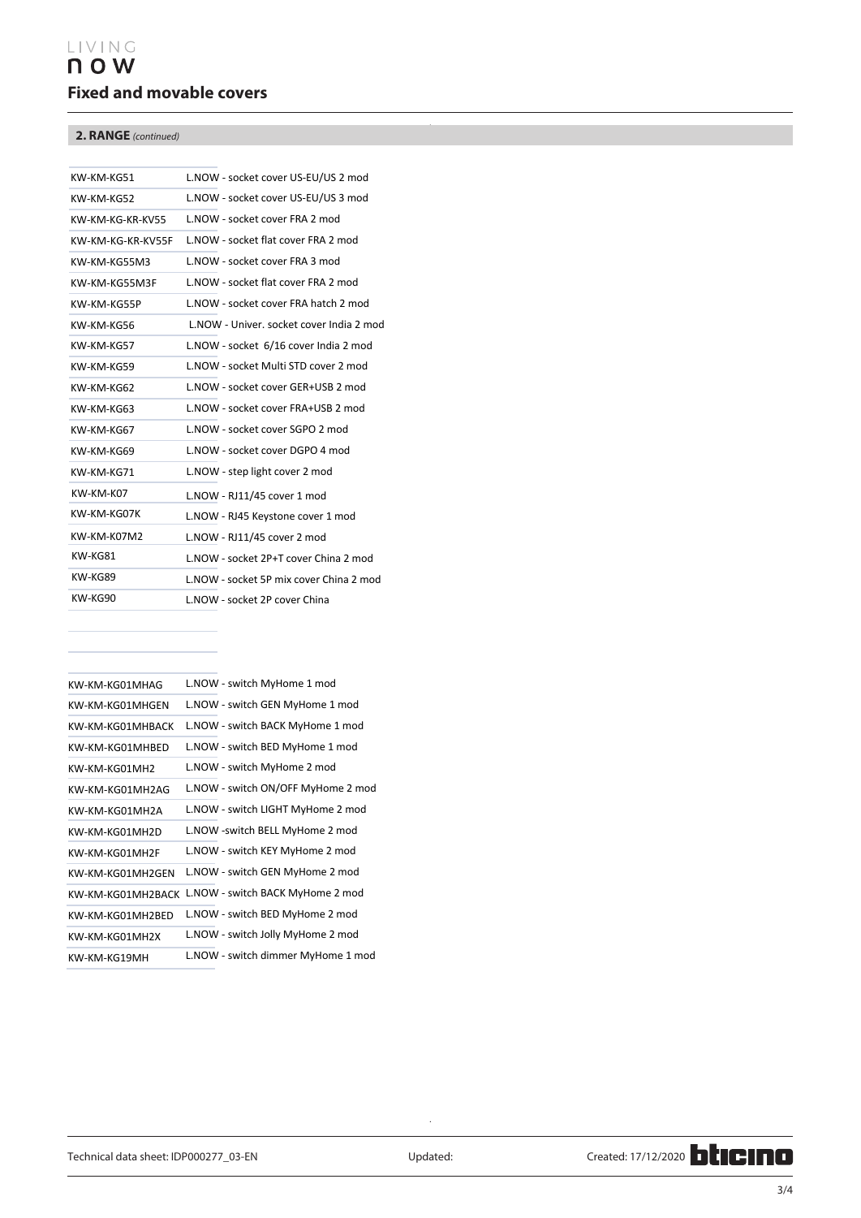# LIVING n o w **Fixed and movable covers**

## **2. RANGE** *(continued)*

| KW-KM-KG51          | L.NOW - socket cover US-EU/US 2 mod      |
|---------------------|------------------------------------------|
| KW-KM-KG52          | L.NOW - socket cover US-EU/US 3 mod      |
| KW-KM-KG-KR-KV55    | L.NOW - socket cover FRA 2 mod           |
| KW-KM-KG-KR-KV55F   | L.NOW - socket flat cover FRA 2 mod      |
| KW-KM-KG55M3        | L.NOW - socket cover FRA 3 mod           |
| KW-KM-KG55M3F       | L.NOW - socket flat cover FRA 2 mod      |
| KW-KM-KG55P         | L.NOW - socket cover FRA hatch 2 mod     |
| KW-KM-KG56          | L.NOW - Univer. socket cover India 2 mod |
| KW-KM-KG57          | L.NOW - socket 6/16 cover India 2 mod    |
| KW-KM-KG59          | L.NOW - socket Multi STD cover 2 mod     |
| KW-KM-KG62          | L.NOW - socket cover GER+USB 2 mod       |
| KW-KM-KG63          | L.NOW - socket cover FRA+USB 2 mod       |
| KW-KG67             | L.NOW - socket cover SGPO 2 mod          |
| KW-KG69             | L.NOW - socket cover DGPO 4 mod          |
| KW-KM-KG71          | L.NOW - step light cover 2 mod           |
| KW-KM-K07           | L.NOW - RJ11/45 cover 1 mod              |
| KW-KM-KG07K         | L.NOW - RJ45 Keystone cover 1 mod        |
| KW-KM-K07M2         | L.NOW - RJ11/45 cover 2 mod              |
| KW-KG81             | L.NOW - socket 2P+T cover China 2 mod    |
| KW-KG89             | L.NOW - socket 5P mix cover China 2 mod  |
| KW-KG90             | L.NOW - socket 2P cover China            |
| KW-KM-KG24          | $O(V \mid T)$                            |
| <b>KW-KM-KG4275</b> | $OV\setminus 1$ M                        |
| KW-KM-KG01GEN       | $O(V \mid T)$<br>$8 - V$                 |
|                     |                                          |

| KW-KM-KG05MH2     | L.NOW - shutter MyHome 2 mod       |  |  |
|-------------------|------------------------------------|--|--|
| KW-KM-KG06MH      | L.NOW - STOP MyHome 1 mod          |  |  |
| KW-KM-KG01MHAG    | L.NOW - switch MyHome 1 mod        |  |  |
| KW-KM-KG01MHGFN   | L.NOW - switch GEN MyHome 1 mod    |  |  |
| KW-KM-KG01MHBACK  | L.NOW - switch BACK MyHome 1 mod   |  |  |
| KW-KM-KG01MHBED   | L.NOW - switch BED MyHome 1 mod    |  |  |
| KW-KM-KG01MH2     | L.NOW - switch MyHome 2 mod        |  |  |
| KW-KM-KG01MH2AG   | L.NOW - switch ON/OFF MyHome 2 mod |  |  |
| KW-KM-KG01MH2A    | L.NOW - switch LIGHT MyHome 2 mod  |  |  |
| KW-KM-KG01MH2D    | L.NOW -switch BELL MyHome 2 mod    |  |  |
| KW-KM-KG01MH2F    | L.NOW - switch KEY MyHome 2 mod    |  |  |
| KW-KM-KG01MH2GEN  | L.NOW - switch GEN MyHome 2 mod    |  |  |
| KW-KM-KG01MH2BACK | L.NOW - switch BACK MyHome 2 mod   |  |  |
| KW-KM-KG01MH2BED  | L.NOW - switch BED MyHome 2 mod    |  |  |
| KW-KM-KG01MH2X    | L.NOW - switch Jolly MyHome 2 mod  |  |  |
| KW-KM-KG19MH      | L.NOW - switch dimmer MyHome 1 mod |  |  |
| KW-KM-KG19MH2     | L.NOW - switch dimmer MyHome 2 mod |  |  |

 $\bar{\mathcal{A}}$